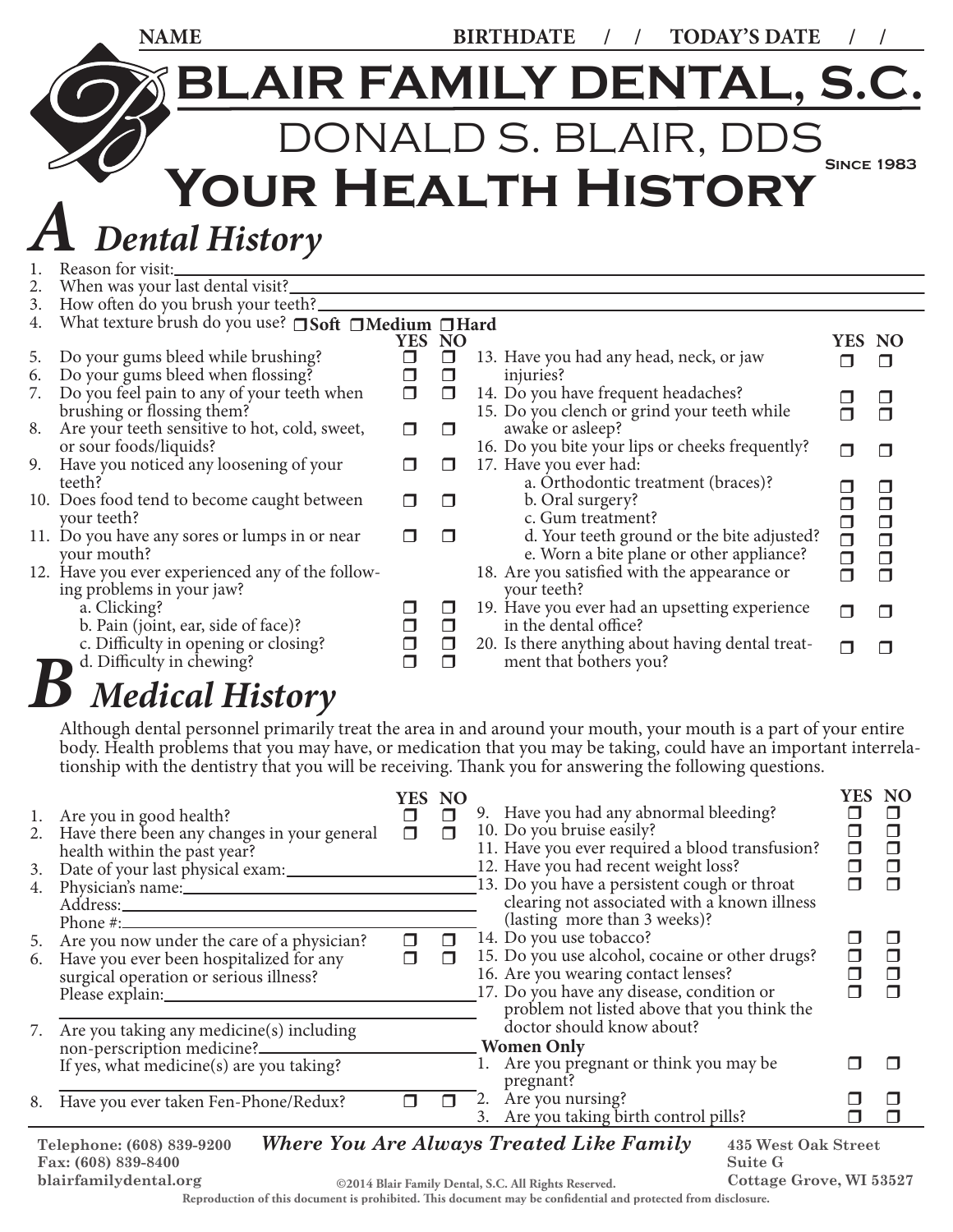|                | <b>NAME</b>                                                                                                   |                       |                            | <b>TODAY'S DATE</b><br><b>BIRTHDATE</b>                                                             |                            |                            |
|----------------|---------------------------------------------------------------------------------------------------------------|-----------------------|----------------------------|-----------------------------------------------------------------------------------------------------|----------------------------|----------------------------|
|                |                                                                                                               |                       |                            | <b>BLAIR FAMILY DENTAL, S.C.</b>                                                                    |                            |                            |
|                |                                                                                                               |                       |                            | DONALD S. BLAIR, DDS                                                                                | <b>SINCE 1983</b>          |                            |
|                |                                                                                                               |                       |                            | YOUR HEALTH HISTORY                                                                                 |                            |                            |
|                | <b>Dental History</b>                                                                                         |                       |                            |                                                                                                     |                            |                            |
| 1.<br>2.<br>3. | Reason for visit:<br>When was your last dental visit?_<br>How often do you brush your teeth?                  |                       |                            |                                                                                                     |                            |                            |
| 4.             | What texture brush do you use? Soft Medium IHard                                                              | YES NO                |                            |                                                                                                     | YES NO                     |                            |
| 5.<br>6.       | Do your gums bleed while brushing?<br>Do your gums bleed when flossing?                                       | $\Box$<br>$\Box$      | $\Box$<br>$\Box$           | 13. Have you had any head, neck, or jaw<br>injuries?                                                | $\Box$                     | $\Box$                     |
| 7.             | Do you feel pain to any of your teeth when<br>brushing or flossing them?                                      | $\Box$                | $\Box$                     | 14. Do you have frequent headaches?<br>15. Do you clench or grind your teeth while                  | □<br>$\Box$                | $\Box$<br>$\Box$           |
| 8.             | Are your teeth sensitive to hot, cold, sweet,<br>or sour foods/liquids?                                       | $\Box$                | ⊓                          | awake or asleep?<br>16. Do you bite your lips or cheeks frequently?                                 | $\Box$                     | $\Box$                     |
| 9.             | Have you noticed any loosening of your                                                                        | ⊓                     | $\Box$                     | 17. Have you ever had:                                                                              |                            |                            |
|                | teeth?<br>10. Does food tend to become caught between<br>your teeth?                                          | П                     | $\Box$                     | a. Orthodontic treatment (braces)?<br>b. Oral surgery?<br>c. Gum treatment?                         | $\Box$<br>$\Box$<br>$\Box$ | $\Box$<br>$\Box$<br>$\Box$ |
|                | 11. Do you have any sores or lumps in or near<br>your mouth?                                                  | $\Box$                | $\Box$                     | d. Your teeth ground or the bite adjusted?<br>e. Worn a bite plane or other appliance?              | $\Box$                     | $\Box$                     |
|                | 12. Have you ever experienced any of the follow-                                                              |                       |                            | 18. Are you satisfied with the appearance or                                                        | $\Box$<br>$\Box$           | $\Box$<br>$\Box$           |
|                | ing problems in your jaw?<br>a. Clicking?                                                                     |                       | $\Box$                     | your teeth?<br>19. Have you ever had an upsetting experience                                        | $\Box$                     | $\Box$                     |
|                | b. Pain (joint, ear, side of face)?<br>c. Difficulty in opening or closing?<br>d. Difficulty in chewing?<br>D | $\Box$<br>$\Box$<br>⊓ | $\Box$<br>$\Box$<br>$\Box$ | in the dental office?<br>20. Is there anything about having dental treat-<br>ment that bothers you? | П                          | П                          |

## *B Medical History*

Although dental personnel primarily treat the area in and around your mouth, your mouth is a part of your entire body. Health problems that you may have, or medication that you may be taking, could have an important interrelationship with the dentistry that you will be receiving. Thank you for answering the following questions.

| 3.<br>4. | 1. Are you in good health?<br>2. Have there been any changes in your general<br>health within the past year?<br>Date of your last physical exam:<br>Physician's name: | <b>YES</b><br>П<br>П | <b>NO</b><br>$\Box$<br>$\Box$ | 9. Have you had any abnormal bleeding?<br>10. Do you bruise easily?<br>11. Have you ever required a blood transfusion?<br>12. Have you had recent weight loss?<br>13. Do you have a persistent cough or throat<br>clearing not associated with a known illness | <b>YES</b><br>П | <b>NO</b><br>. .<br>П<br>⊓<br>$\Box$<br>$\Box$ |
|----------|-----------------------------------------------------------------------------------------------------------------------------------------------------------------------|----------------------|-------------------------------|----------------------------------------------------------------------------------------------------------------------------------------------------------------------------------------------------------------------------------------------------------------|-----------------|------------------------------------------------|
| 6.       | Phone $\#$ :<br>5. Are you now under the care of a physician?<br>Have you ever been hospitalized for any<br>surgical operation or serious illness?                    | п                    | П<br>⊓                        | (lasting more than 3 weeks)?<br>14. Do you use tobacco?<br>15. Do you use alcohol, cocaine or other drugs?<br>16. Are you wearing contact lenses?<br>17. Do you have any disease, condition or<br>problem not listed above that you think the                  | П               | H<br>□<br>$\Box$<br>$\Box$                     |
| 7.       | Are you taking any medicine(s) including<br>If yes, what medicine(s) are you taking?<br>8. Have you ever taken Fen-Phone/Redux?                                       | ⊓                    | П                             | doctor should know about?<br><b>Women Only</b><br>1. Are you pregnant or think you may be<br>pregnant?<br>Are you nursing?<br>2.                                                                                                                               |                 | П<br>П                                         |
|          | 3. Are you taking birth control pills?<br>H<br>Where You Are Always Treated Like Family<br>435 West Oak Street<br>Telephone: (608) 839-9200                           |                      |                               |                                                                                                                                                                                                                                                                |                 |                                                |

*Where You Are Always Treated Like Family* **435 West Oak Street Suite G Telephone: (608) 839-9200 Fax: (608) 839-8400 blairfamilydental.org ©2014 Blair Family Dental, S.C. All Rights Reserved.** Reproduction of this document is prohibited. This document may be confidential and protected from disclosure.

**Cottage Grove, WI 53527**